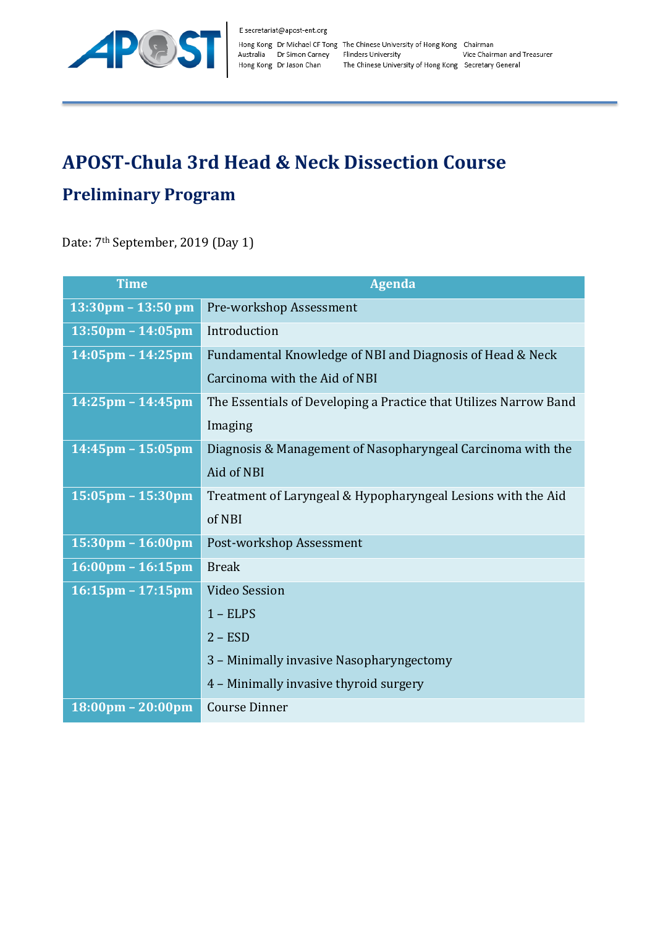

## **APOST-Chula 3rd Head & Neck Dissection Course Preliminary Program**

Date: 7<sup>th</sup> September, 2019 (Day 1)

| Time                                | <b>Agenda</b>                                                     |
|-------------------------------------|-------------------------------------------------------------------|
| $13:30 \text{pm} - 13:50 \text{pm}$ | Pre-workshop Assessment                                           |
| $13:50 \text{pm} - 14:05 \text{pm}$ | Introduction                                                      |
| $14:05$ pm – 14:25pm                | Fundamental Knowledge of NBI and Diagnosis of Head & Neck         |
|                                     | Carcinoma with the Aid of NBI                                     |
| $14:25$ pm - $14:45$ pm             | The Essentials of Developing a Practice that Utilizes Narrow Band |
|                                     | Imaging                                                           |
| $14:45$ pm – 15:05pm                | Diagnosis & Management of Nasopharyngeal Carcinoma with the       |
|                                     | Aid of NBI                                                        |
| $15:05 \text{pm} - 15:30 \text{pm}$ | Treatment of Laryngeal & Hypopharyngeal Lesions with the Aid      |
|                                     | of NBI                                                            |
| $15:30 \text{pm} - 16:00 \text{pm}$ | Post-workshop Assessment                                          |
| $16:00 \text{pm} - 16:15 \text{pm}$ | <b>Break</b>                                                      |
| $16:15 \text{pm} - 17:15 \text{pm}$ | <b>Video Session</b>                                              |
|                                     | $1 - ELPS$                                                        |
|                                     | $2 - ESD$                                                         |
|                                     | 3 - Minimally invasive Nasopharyngectomy                          |
|                                     | 4 - Minimally invasive thyroid surgery                            |
| $18:00 \text{pm} - 20:00 \text{pm}$ | <b>Course Dinner</b>                                              |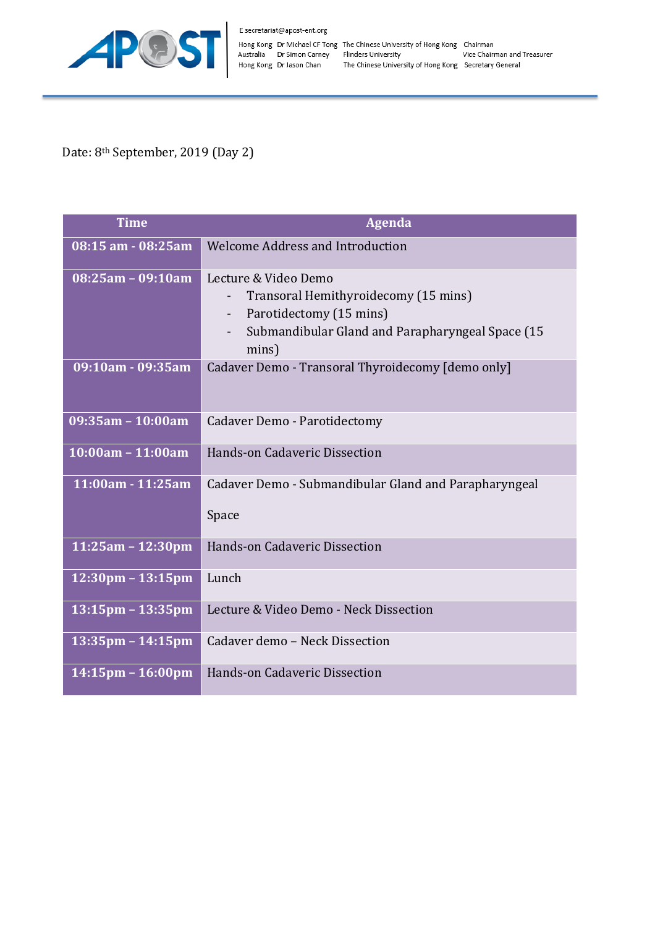

Date: 8<sup>th</sup> September, 2019 (Day 2)

| <b>Time</b>                         | <b>Agenda</b>                                                                                                                                        |
|-------------------------------------|------------------------------------------------------------------------------------------------------------------------------------------------------|
| 08:15 am - 08:25 am                 | <b>Welcome Address and Introduction</b>                                                                                                              |
| 08:25am - 09:10am                   | Lecture & Video Demo<br>Transoral Hemithyroidecomy (15 mins)<br>Parotidectomy (15 mins)<br>Submandibular Gland and Parapharyngeal Space (15<br>mins) |
| 09:10am - 09:35am                   | Cadaver Demo - Transoral Thyroidecomy [demo only]                                                                                                    |
| 09:35am - 10:00am                   | Cadaver Demo - Parotidectomy                                                                                                                         |
| $10:00am - 11:00am$                 | <b>Hands-on Cadaveric Dissection</b>                                                                                                                 |
| 11:00am - 11:25am                   | Cadaver Demo - Submandibular Gland and Parapharyngeal<br>Space                                                                                       |
| $11:25am - 12:30pm$                 | <b>Hands-on Cadaveric Dissection</b>                                                                                                                 |
| $12:30 \text{pm} - 13:15 \text{pm}$ | Lunch                                                                                                                                                |
| $13:15$ pm – $13:35$ pm             | Lecture & Video Demo - Neck Dissection                                                                                                               |
| 13:35pm - 14:15pm                   | Cadaver demo - Neck Dissection                                                                                                                       |
| $14:15$ pm – $16:00$ pm             | Hands-on Cadaveric Dissection                                                                                                                        |